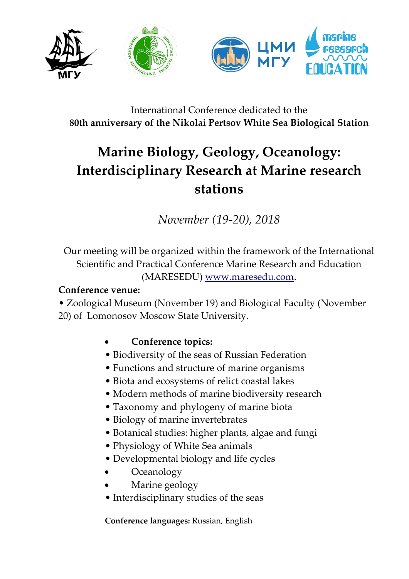

# International Conference dedicated to the **80th anniversary of the Nikolai Pertsov White Sea Biological Station**

# **Marine Biology, Geology, Oceanology: Interdisciplinary Research at Marine research stations**

*November (19-20), 2018*

Our meeting will be organized within the framework of the International Scientific and Practical Conference Marine Research and Education (MARESEDU) [www.maresedu.com.](http://www.maresedu.com/)

#### **Conference venue:**

• Zoological Museum (November 19) and Biological Faculty (November 20) of Lomonosov Moscow State University.

### **Conference topics:**

- Biodiversity of the seas of Russian Federation
- Functions and structure of marine organisms
- Biota and ecosystems of relict coastal lakes
- Modern methods of marine biodiversity research
- Taxonomy and phylogeny of marine biota
- Biology of marine invertebrates
- Botanical studies: higher plants, algae and fungi
- Physiology of White Sea animals
- Developmental biology and life cycles
- **Oceanology**
- Marine geology
- Interdisciplinary studies of the seas

**Conference languages:** Russian, English